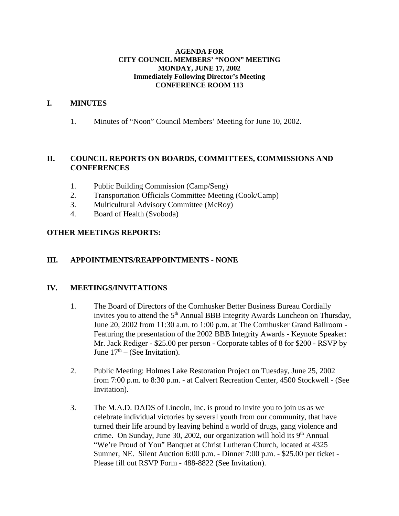#### **AGENDA FOR CITY COUNCIL MEMBERS' "NOON" MEETING MONDAY, JUNE 17, 2002 Immediately Following Director's Meeting CONFERENCE ROOM 113**

### **I. MINUTES**

1. Minutes of "Noon" Council Members' Meeting for June 10, 2002.

# **II. COUNCIL REPORTS ON BOARDS, COMMITTEES, COMMISSIONS AND CONFERENCES**

- 1. Public Building Commission (Camp/Seng)
- 2. Transportation Officials Committee Meeting (Cook/Camp)
- 3. Multicultural Advisory Committee (McRoy)
- 4. Board of Health (Svoboda)

## **OTHER MEETINGS REPORTS:**

## **III. APPOINTMENTS/REAPPOINTMENTS - NONE**

## **IV. MEETINGS/INVITATIONS**

- 1. The Board of Directors of the Cornhusker Better Business Bureau Cordially invites you to attend the  $5<sup>th</sup>$  Annual BBB Integrity Awards Luncheon on Thursday, June 20, 2002 from 11:30 a.m. to 1:00 p.m. at The Cornhusker Grand Ballroom - Featuring the presentation of the 2002 BBB Integrity Awards - Keynote Speaker: Mr. Jack Rediger - \$25.00 per person - Corporate tables of 8 for \$200 - RSVP by June  $17<sup>th</sup>$  – (See Invitation).
- 2. Public Meeting: Holmes Lake Restoration Project on Tuesday, June 25, 2002 from 7:00 p.m. to 8:30 p.m. - at Calvert Recreation Center, 4500 Stockwell - (See Invitation).
- 3. The M.A.D. DADS of Lincoln, Inc. is proud to invite you to join us as we celebrate individual victories by several youth from our community, that have turned their life around by leaving behind a world of drugs, gang violence and crime. On Sunday, June 30, 2002, our organization will hold its  $9<sup>th</sup>$  Annual "We're Proud of You" Banquet at Christ Lutheran Church, located at 4325 Sumner, NE. Silent Auction 6:00 p.m. - Dinner 7:00 p.m. - \$25.00 per ticket - Please fill out RSVP Form - 488-8822 (See Invitation).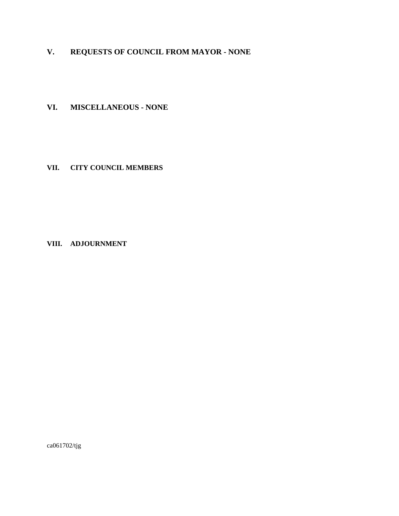# **V. REQUESTS OF COUNCIL FROM MAYOR - NONE**

**VI. MISCELLANEOUS - NONE** 

**VII. CITY COUNCIL MEMBERS**

### **VIII. ADJOURNMENT**

ca061702/tjg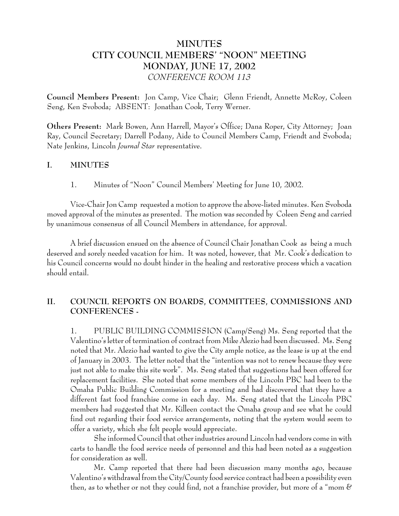# **MINUTES CITY COUNCIL MEMBERS' "NOON" MEETING MONDAY, JUNE 17, 2002** *CONFERENCE ROOM 113*

**Council Members Present:** Jon Camp, Vice Chair; Glenn Friendt, Annette McRoy, Coleen Seng, Ken Svoboda; ABSENT: Jonathan Cook, Terry Werner.

**Others Present:** Mark Bowen, Ann Harrell, Mayor's Office; Dana Roper, City Attorney; Joan Ray, Council Secretary; Darrell Podany, Aide to Council Members Camp, Friendt and Svoboda; Nate Jenkins, Lincoln *Journal Star* representative.

# **I. MINUTES**

1. Minutes of "Noon" Council Members' Meeting for June 10, 2002.

Vice-Chair Jon Camp requested a motion to approve the above-listed minutes. Ken Svoboda moved approval of the minutes as presented. The motion was seconded by Coleen Seng and carried by unanimous consensus of all Council Members in attendance, for approval.

A brief discussion ensued on the absence of Council Chair Jonathan Cook as being a much deserved and sorely needed vacation for him. It was noted, however, that Mr. Cook's dedication to his Council concerns would no doubt hinder in the healing and restorative process which a vacation should entail.

# **II. COUNCIL REPORTS ON BOARDS, COMMITTEES, COMMISSIONS AND CONFERENCES -**

1. PUBLIC BUILDING COMMISSION (Camp/Seng) Ms. Seng reported that the Valentino's letter of termination of contract from Mike Alezio had been discussed. Ms. Seng noted that Mr. Alezio had wanted to give the City ample notice, as the lease is up at the end of January in 2003. The letter noted that the "intention was not to renew because they were just not able to make this site work". Ms. Seng stated that suggestions had been offered for replacement facilities. She noted that some members of the Lincoln PBC had been to the Omaha Public Building Commission for a meeting and had discovered that they have a different fast food franchise come in each day. Ms. Seng stated that the Lincoln PBC members had suggested that Mr. Killeen contact the Omaha group and see what he could find out regarding their food service arrangements, noting that the system would seem to offer a variety, which she felt people would appreciate.

She informed Council that other industries around Lincoln had vendors come in with carts to handle the food service needs of personnel and this had been noted as a suggestion for consideration as well.

Mr. Camp reported that there had been discussion many months ago, because Valentino's withdrawal from the City/County food service contract had been a possibility even then, as to whether or not they could find, not a franchise provider, but more of a "mom  $\mathscr C$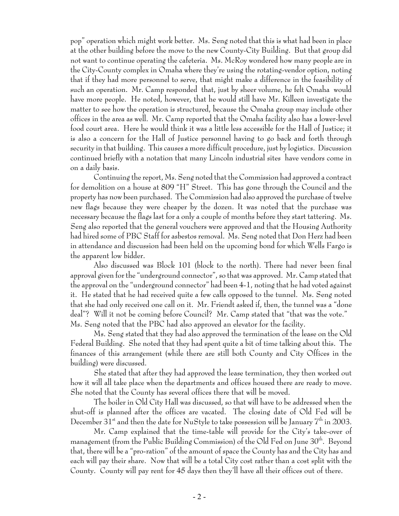pop" operation which might work better. Ms. Seng noted that this is what had been in place at the other building before the move to the new County-City Building. But that group did not want to continue operating the cafeteria. Ms. McRoy wondered how many people are in the City-County complex in Omaha where they're using the rotating-vendor option, noting that if they had more personnel to serve, that might make a difference in the feasibility of such an operation. Mr. Camp responded that, just by sheer volume, he felt Omaha would have more people. He noted, however, that he would still have Mr. Killeen investigate the matter to see how the operation is structured, because the Omaha group may include other offices in the area as well. Mr. Camp reported that the Omaha facility also has a lower-level food court area. Here he would think it was a little less accessible for the Hall of Justice; it is also a concern for the Hall of Justice personnel having to go back and forth through security in that building. This causes a more difficult procedure, just by logistics. Discussion continued briefly with a notation that many Lincoln industrial sites have vendors come in on a daily basis.

Continuing the report, Ms. Seng noted that the Commission had approved a contract for demolition on a house at 809 "H" Street. This has gone through the Council and the property has now been purchased. The Commission had also approved the purchase of twelve new flags because they were cheaper by the dozen. It was noted that the purchase was necessary because the flags last for a only a couple of months before they start tattering. Ms. Seng also reported that the general vouchers were approved and that the Housing Authority had hired some of PBC Staff for asbestos removal. Ms. Seng noted that Don Herz had been in attendance and discussion had been held on the upcoming bond for which Wells Fargo is the apparent low bidder.

Also discussed was Block 101 (block to the north). There had never been final approval given for the "underground connector", so that was approved. Mr. Camp stated that the approval on the "underground connector" had been 4-1, noting that he had voted against it. He stated that he had received quite a few calls opposed to the tunnel. Ms. Seng noted that she had only received one call on it. Mr. Friendt asked if, then, the tunnel was a "done deal"? Will it not be coming before Council? Mr. Camp stated that "that was the vote." Ms. Seng noted that the PBC had also approved an elevator for the facility.

Ms. Seng stated that they had also approved the termination of the lease on the Old Federal Building. She noted that they had spent quite a bit of time talking about this. The finances of this arrangement (while there are still both County and City Offices in the building) were discussed.

She stated that after they had approved the lease termination, they then worked out how it will all take place when the departments and offices housed there are ready to move. She noted that the County has several offices there that will be moved.

The boiler in Old City Hall was discussed, so that will have to be addressed when the shut-off is planned after the offices are vacated. The closing date of Old Fed will be December 31<sup>st</sup> and then the date for NuStyle to take possession will be January  $T<sup>th</sup>$  in 2003.

Mr. Camp explained that the time-table will provide for the City's take-over of management (from the Public Building Commission) of the Old Fed on June  $30<sup>th</sup>$ . Beyond that, there will be a "pro-ration" of the amount of space the County has and the City has and each will pay their share. Now that will be a total City cost rather than a cost split with the County. County will pay rent for 45 days then they'll have all their offices out of there.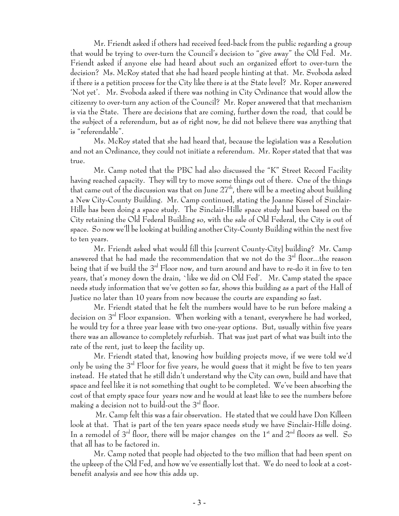Mr. Friendt asked if others had received feed-back from the public regarding a group that would be trying to over-turn the Council's decision to "give away" the Old Fed. Mr. Friendt asked if anyone else had heard about such an organized effort to over-turn the decision? Ms. McRoy stated that she had heard people hinting at that. Mr. Svoboda asked if there is a petition process for the City like there is at the State level? Mr. Roper answered 'Not yet'. Mr. Svoboda asked if there was nothing in City Ordinance that would allow the citizenry to over-turn any action of the Council? Mr. Roper answered that that mechanism is via the State. There are decisions that are coming, further down the road, that could be the subject of a referendum, but as of right now, he did not believe there was anything that is "referendable".

Ms. McRoy stated that she had heard that, because the legislation was a Resolution and not an Ordinance, they could not initiate a referendum. Mr. Roper stated that that was true.

Mr. Camp noted that the PBC had also discussed the "K" Street Record Facility having reached capacity. They will try to move some things out of there. One of the things that came out of the discussion was that on June  $27<sup>th</sup>$ , there will be a meeting about building a New City-County Building. Mr. Camp continued, stating the Joanne Kissel of Sinclair-Hille has been doing a space study. The Sinclair-Hille space study had been based on the City retaining the Old Federal Building so, with the sale of Old Federal, the City is out of space. So now we'll be looking at building another City-County Building within the next five to ten years.

Mr. Friendt asked what would fill this [current County-City] building? Mr. Camp answered that he had made the recommendation that we not do the  $3<sup>rd</sup>$  floor...the reason being that if we build the 3 $^{\rm rd}$  Floor now, and turn around and have to re-do it in five to ten years, that's money down the drain, `like we did on Old Fed'. Mr. Camp stated the space needs study information that we've gotten so far, shows this building as a part of the Hall of Justice no later than 10 years from now because the courts are expanding so fast.

Mr. Friendt stated that he felt the numbers would have to be run before making a decision on 3rd Floor expansion. When working with a tenant, everywhere he had worked, he would try for a three year lease with two one-year options. But, usually within five years there was an allowance to completely refurbish. That was just part of what was built into the rate of the rent, just to keep the facility up.

Mr. Friendt stated that, knowing how building projects move, if we were told we'd only be using the  $3<sup>rd</sup>$  Floor for five years, he would guess that it might be five to ten years instead. He stated that he still didn't understand why the City can own, build and have that space and feel like it is not something that ought to be completed. We've been absorbing the cost of that empty space four years now and he would at least like to see the numbers before making a decision not to build-out the  $3<sup>rd</sup>$  floor.

 Mr. Camp felt this was a fair observation. He stated that we could have Don Killeen look at that. That is part of the ten years space needs study we have Sinclair-Hille doing. In a remodel of  $3<sup>rd</sup>$  floor, there will be major changes on the  $1<sup>st</sup>$  and  $2<sup>nd</sup>$  floors as well. So that all has to be factored in.

Mr. Camp noted that people had objected to the two million that had been spent on the upkeep of the Old Fed, and how we've essentially lost that. We do need to look at a costbenefit analysis and see how this adds up.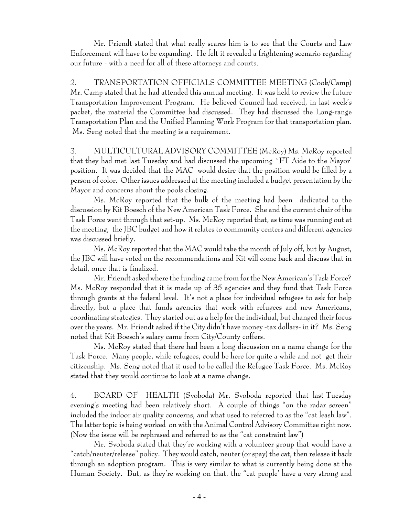Mr. Friendt stated that what really scares him is to see that the Courts and Law Enforcement will have to be expanding. He felt it revealed a frightening scenario regarding our future - with a need for all of these attorneys and courts.

2. TRANSPORTATION OFFICIALS COMMITTEE MEETING (Cook/Camp) Mr. Camp stated that he had attended this annual meeting. It was held to review the future Transportation Improvement Program. He believed Council had received, in last week's packet, the material the Committee had discussed. They had discussed the Long-range Transportation Plan and the Unified Planning Work Program for that transportation plan. Ms. Seng noted that the meeting is a requirement.

3. MULTICULTURAL ADVISORY COMMITTEE (McRoy) Ms. McRoy reported that they had met last Tuesday and had discussed the upcoming `FT Aide to the Mayor' position. It was decided that the MAC would desire that the position would be filled by a person of color. Other issues addressed at the meeting included a budget presentation by the Mayor and concerns about the pools closing.

Ms. McRoy reported that the bulk of the meeting had been dedicated to the discussion by Kit Boesch of the New American Task Force. She and the current chair of the Task Force went through that set-up. Ms. McRoy reported that, as time was running out at the meeting, the JBC budget and how it relates to community centers and different agencies was discussed briefly.

Ms. McRoy reported that the MAC would take the month of July off, but by August, the JBC will have voted on the recommendations and Kit will come back and discuss that in detail, once that is finalized.

Mr. Friendt asked where the funding came from for the New American's Task Force? Ms. McRoy responded that it is made up of 35 agencies and they fund that Task Force through grants at the federal level. It's not a place for individual refugees to ask for help directly, but a place that funds agencies that work with refugees and new Americans, coordinating strategies. They started out as a help for the individual, but changed their focus over the years. Mr. Friendt asked if the City didn't have money -tax dollars- in it? Ms. Seng noted that Kit Boesch's salary came from City/County coffers.

Ms. McRoy stated that there had been a long discussion on a name change for the Task Force. Many people, while refugees, could be here for quite a while and not get their citizenship. Ms. Seng noted that it used to be called the Refugee Task Force. Ms. McRoy stated that they would continue to look at a name change.

4. BOARD OF HEALTH (Svoboda) Mr. Svoboda reported that last Tuesday evening's meeting had been relatively short. A couple of things "on the radar screen" included the indoor air quality concerns, and what used to referred to as the "cat leash law". The latter topic is being worked on with the Animal Control Advisory Committee right now. (Now the issue will be rephrased and referred to as the "cat constraint law")

Mr. Svoboda stated that they're working with a volunteer group that would have a "catch/neuter/release" policy. They would catch, neuter (or spay) the cat, then release it back through an adoption program. This is very similar to what is currently being done at the Human Society. But, as they're working on that, the "cat people' have a very strong and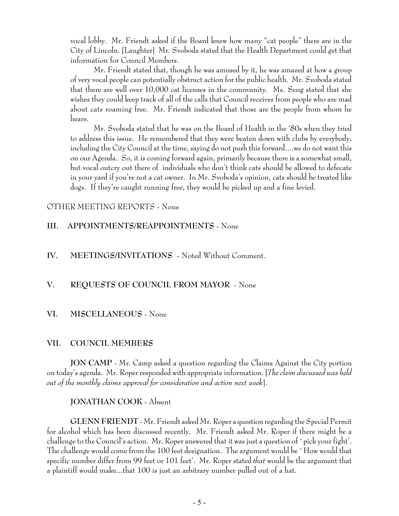vocal lobby. Mr. Friendt asked if the Board knew how many "cat people" there are in the City of Lincoln. [Laughter] Mr. Svoboda stated that the Health Department could get that information for Council Members.

Mr. Friendt stated that, though he was amused by it, he was amazed at how a group of very vocal people can potentially obstruct action for the public health. Mr. Svoboda stated that there are well over 10,000 cat licenses in the community. Ms. Seng stated that she wishes they could keep track of all of the calls that Council receives from people who are mad about cats roaming free. Mr. Friendt indicated that those are the people from whom he hears.

Mr. Svoboda stated that he was on the Board of Health in the '80s when they tried to address this issue. He remembered that they were beaten down with clubs by everybody, including the City Council at the time, saying do not push this forward....we do not want this on our Agenda. So, it is coming forward again, primarily because there is a somewhat small, but vocal outcry out there of individuals who don't think cats should be allowed to defecate in your yard if you're not a cat owner. In Mr. Svoboda's opinion, cats should be treated like dogs. If they're caught running free, they would be picked up and a fine levied.

### OTHER MEETING REPORTS - None

### **III. APPOINTMENTS/REAPPOINTMENTS** - None

### **IV. MEETINGS/INVITATIONS** - Noted Without Comment.

### **V. REQUESTS OF COUNCIL FROM MAYOR** - None

#### **VI. MISCELLANEOUS** - None

### **VII. COUNCIL MEMBERS**

**JON CAMP** - Mr. Camp asked a question regarding the Claims Against the City portion on today's agenda. Mr. Roper responded with appropriate information. [*The claim discussed was held out of the monthly claims approval for consideration and action next week*].

#### **JONATHAN COOK** - Absent

**GLENN FRIENDT** - Mr. Friendt asked Mr. Roper a question regarding the Special Permit for alcohol which has been discussed recently. Mr. Friendt asked Mr. Roper if there might be a challenge to the Council's action. Mr. Roper answered that it was just a question of `pick your fight'. The challenge would come from the 100 feet designation. The argument would be `How would that specific number differ from 99 feet or 101 feet'. Mr. Roper stated *that* would be the argument that a plaintiff would make...that 100 is just an arbitrary number pulled out of a hat.